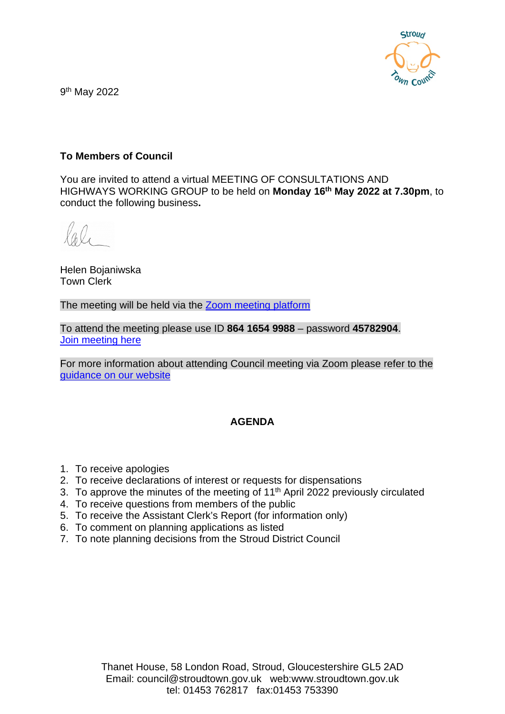

9th May 2022

## **To Members of Council**

You are invited to attend a virtual MEETING OF CONSULTATIONS AND HIGHWAYS WORKING GROUP to be held on **Monday 16th May 2022 at 7.30pm**, to conduct the following business**.**

Helen Bojaniwska Town Clerk

The meeting will be held via the [Zoom meeting platform](https://www.zoom.us/join)

To attend the meeting please use ID **864 1654 9988** – password **45782904**. [Join meeting here](https://us02web.zoom.us/j/86416549988?pwd=a09FblhWK0ErVTVaQmxtcm00RmVUdz09)

For more information about attending Council meeting via Zoom please refer to the [guidance on our website](https://www.stroudtown.gov.uk/uploads/taking-part-in-an-stc-zoom-meeting-april-2020.pdf)

### **AGENDA**

- 1. To receive apologies
- 2. To receive declarations of interest or requests for dispensations
- 3. To approve the minutes of the meeting of 11<sup>th</sup> April 2022 previously circulated
- 4. To receive questions from members of the public
- 5. To receive the Assistant Clerk's Report (for information only)
- 6. To comment on planning applications as listed
- 7. To note planning decisions from the Stroud District Council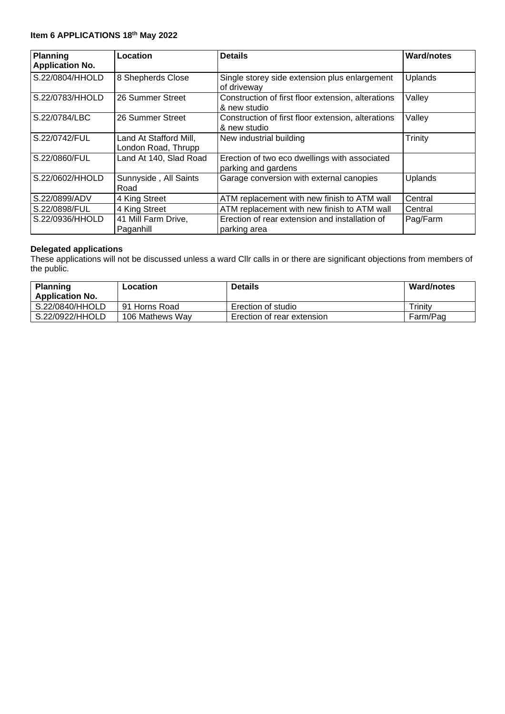#### **Item 6 APPLICATIONS 18th May 2022**

| <b>Planning</b><br><b>Application No.</b> | Location                                      | <b>Details</b>                                                       | <b>Ward/notes</b> |
|-------------------------------------------|-----------------------------------------------|----------------------------------------------------------------------|-------------------|
| S.22/0804/HHOLD                           | 8 Shepherds Close                             | Single storey side extension plus enlargement<br>of driveway         | <b>Uplands</b>    |
| S.22/0783/HHOLD                           | 26 Summer Street                              | Construction of first floor extension, alterations<br>& new studio   | Valley            |
| S.22/0784/LBC                             | 26 Summer Street                              | Construction of first floor extension, alterations<br>& new studio   | Valley            |
| S.22/0742/FUL                             | Land At Stafford Mill,<br>London Road, Thrupp | New industrial building                                              | Trinity           |
| S.22/0860/FUL                             | Land At 140, Slad Road                        | Erection of two eco dwellings with associated<br>parking and gardens |                   |
| S.22/0602/HHOLD                           | Sunnyside, All Saints<br>Road                 | Garage conversion with external canopies                             | <b>Uplands</b>    |
| S.22/0899/ADV                             | 4 King Street                                 | ATM replacement with new finish to ATM wall                          | Central           |
| S.22/0898/FUL                             | 4 King Street                                 | ATM replacement with new finish to ATM wall                          | Central           |
| S.22/0936/HHOLD                           | 41 Mill Farm Drive,<br>Paganhill              | Erection of rear extension and installation of<br>parking area       | Pag/Farm          |

#### **Delegated applications**

These applications will not be discussed unless a ward Cllr calls in or there are significant objections from members of the public.

| <b>Planning</b>        | Location        | <b>Details</b>             | <b>Ward/notes</b> |
|------------------------|-----------------|----------------------------|-------------------|
| <b>Application No.</b> |                 |                            |                   |
| S.22/0840/HHOLD        | 91 Horns Road   | Erection of studio         | Trinitv           |
| S.22/0922/HHOLD        | 106 Mathews Way | Erection of rear extension | Farm/Pag          |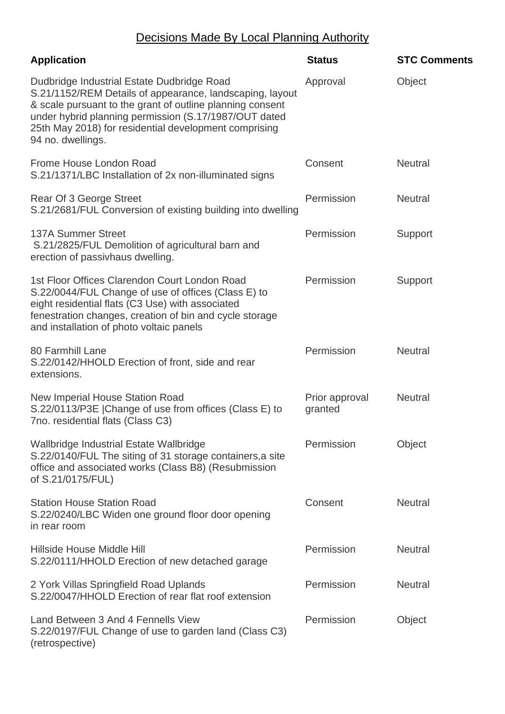# Decisions Made By Local Planning Authority

| <b>Application</b>                                                                                                                                                                                                                                                                                         | <b>Status</b>             | <b>STC Comments</b> |
|------------------------------------------------------------------------------------------------------------------------------------------------------------------------------------------------------------------------------------------------------------------------------------------------------------|---------------------------|---------------------|
| Dudbridge Industrial Estate Dudbridge Road<br>S.21/1152/REM Details of appearance, landscaping, layout<br>& scale pursuant to the grant of outline planning consent<br>under hybrid planning permission (S.17/1987/OUT dated<br>25th May 2018) for residential development comprising<br>94 no. dwellings. | Approval                  | Object              |
| Frome House London Road<br>S.21/1371/LBC Installation of 2x non-illuminated signs                                                                                                                                                                                                                          | Consent                   | <b>Neutral</b>      |
| Rear Of 3 George Street<br>S.21/2681/FUL Conversion of existing building into dwelling                                                                                                                                                                                                                     | Permission                | <b>Neutral</b>      |
| <b>137A Summer Street</b><br>S.21/2825/FUL Demolition of agricultural barn and<br>erection of passivhaus dwelling.                                                                                                                                                                                         | Permission                | Support             |
| 1st Floor Offices Clarendon Court London Road<br>S.22/0044/FUL Change of use of offices (Class E) to<br>eight residential flats (C3 Use) with associated<br>fenestration changes, creation of bin and cycle storage<br>and installation of photo voltaic panels                                            | Permission                | Support             |
| 80 Farmhill Lane<br>S.22/0142/HHOLD Erection of front, side and rear<br>extensions.                                                                                                                                                                                                                        | Permission                | <b>Neutral</b>      |
| New Imperial House Station Road<br>S.22/0113/P3E   Change of use from offices (Class E) to<br>7no. residential flats (Class C3)                                                                                                                                                                            | Prior approval<br>granted | <b>Neutral</b>      |
| Wallbridge Industrial Estate Wallbridge<br>S.22/0140/FUL The siting of 31 storage containers, a site<br>office and associated works (Class B8) (Resubmission<br>of S.21/0175/FUL)                                                                                                                          | Permission                | Object              |
| <b>Station House Station Road</b><br>S.22/0240/LBC Widen one ground floor door opening<br>in rear room                                                                                                                                                                                                     | Consent                   | <b>Neutral</b>      |
| Hillside House Middle Hill<br>S.22/0111/HHOLD Erection of new detached garage                                                                                                                                                                                                                              | Permission                | <b>Neutral</b>      |
| 2 York Villas Springfield Road Uplands<br>S.22/0047/HHOLD Erection of rear flat roof extension                                                                                                                                                                                                             | Permission                | <b>Neutral</b>      |
| Land Between 3 And 4 Fennells View<br>S.22/0197/FUL Change of use to garden land (Class C3)<br>(retrospective)                                                                                                                                                                                             | Permission                | Object              |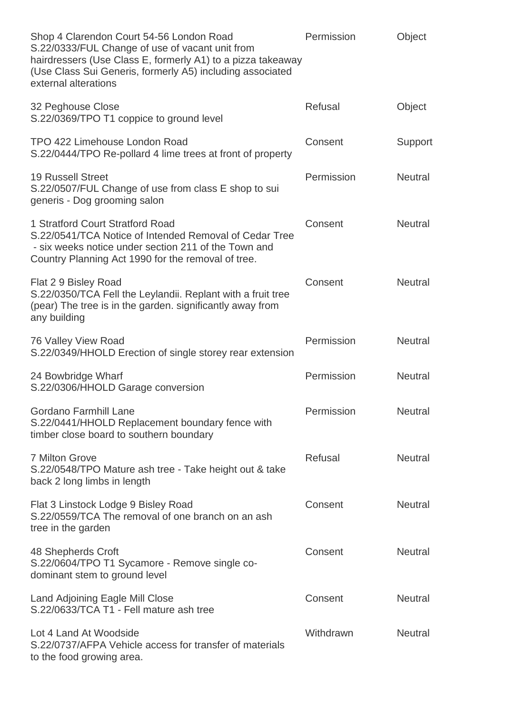| Shop 4 Clarendon Court 54-56 London Road<br>S.22/0333/FUL Change of use of vacant unit from<br>hairdressers (Use Class E, formerly A1) to a pizza takeaway<br>(Use Class Sui Generis, formerly A5) including associated<br>external alterations | Permission | Object         |
|-------------------------------------------------------------------------------------------------------------------------------------------------------------------------------------------------------------------------------------------------|------------|----------------|
| 32 Peghouse Close<br>S.22/0369/TPO T1 coppice to ground level                                                                                                                                                                                   | Refusal    | Object         |
| TPO 422 Limehouse London Road<br>S.22/0444/TPO Re-pollard 4 lime trees at front of property                                                                                                                                                     | Consent    | Support        |
| <b>19 Russell Street</b><br>S.22/0507/FUL Change of use from class E shop to sui<br>generis - Dog grooming salon                                                                                                                                | Permission | <b>Neutral</b> |
| 1 Stratford Court Stratford Road<br>S.22/0541/TCA Notice of Intended Removal of Cedar Tree<br>- six weeks notice under section 211 of the Town and<br>Country Planning Act 1990 for the removal of tree.                                        | Consent    | <b>Neutral</b> |
| Flat 2 9 Bisley Road<br>S.22/0350/TCA Fell the Leylandii. Replant with a fruit tree<br>(pear) The tree is in the garden. significantly away from<br>any building                                                                                | Consent    | <b>Neutral</b> |
| 76 Valley View Road<br>S.22/0349/HHOLD Erection of single storey rear extension                                                                                                                                                                 | Permission | <b>Neutral</b> |
| 24 Bowbridge Wharf<br>S.22/0306/HHOLD Garage conversion                                                                                                                                                                                         | Permission | <b>Neutral</b> |
| Gordano Farmhill Lane<br>S.22/0441/HHOLD Replacement boundary fence with<br>timber close board to southern boundary                                                                                                                             | Permission | Neutral        |
| <b>7 Milton Grove</b><br>S.22/0548/TPO Mature ash tree - Take height out & take<br>back 2 long limbs in length                                                                                                                                  | Refusal    | <b>Neutral</b> |
| Flat 3 Linstock Lodge 9 Bisley Road<br>S.22/0559/TCA The removal of one branch on an ash<br>tree in the garden                                                                                                                                  | Consent    | <b>Neutral</b> |
| 48 Shepherds Croft<br>S.22/0604/TPO T1 Sycamore - Remove single co-<br>dominant stem to ground level                                                                                                                                            | Consent    | <b>Neutral</b> |
| Land Adjoining Eagle Mill Close<br>S.22/0633/TCA T1 - Fell mature ash tree                                                                                                                                                                      | Consent    | <b>Neutral</b> |
| Lot 4 Land At Woodside<br>S.22/0737/AFPA Vehicle access for transfer of materials<br>to the food growing area.                                                                                                                                  | Withdrawn  | <b>Neutral</b> |